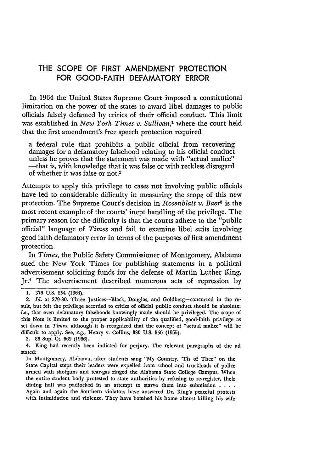## THE SCOPE OF FIRST AMENDMENT PROTECTION FOR GOOD-FAITH DEFAMATORY ERROR

In 1964 the United States Supreme Court imposed a constitutional limitation on the power of the states to award libel damages to public officials falsely defamed by critics of their official conduct. This limit was established in *New York Times v. Sullivan,'* where the court held that the first amendment's free speech protection required

a federal rule that prohibits a public official from recovering damages for a defamatory falsehood relating to his official conduct unless he proves that the statement was made with "actual malice" -that is, with knowledge that it was false or with reckless disregard of whether it was false or not.2

Attempts to apply this privilege to cases not involving public officials have led to considerable difficulty in measuring the scope of this new protection. The Supreme Court's decision in *Rosenblatt v. Baer'* is the most recent example of the courts' inept handling of the privilege. The primary reason for the difficulty is that the courts adhere to the "public official" language of *Times* and fail to examine libel suits involving good faith defamatory error in terms of the purposes of first amendment protection.

In *Times,* the Public Safety Commissioner of Montgomery, Alabama sued the New York Times for publishing statements in a political advertisement soliciting funds for the defense of Martin Luther King, Jr.4 The advertisement described numerous acts of repression by

<sup>1.</sup> **376** U.S. 254 (1964).

<sup>2.</sup> Id. at 279-80. Three Justices-Black, Douglas, and Goldberg-concurred in the result, but felt the privilege accorded to critics of official public conduct should be absolute; i.e., that even defamatory falsehoods knowingly made should be privileged. The scope **of** this Note is limited to the proper applicability of the qualified, good-faith privilege as set down in *Times,* although it is recognized that the concept of "actual malice" will be difficult to apply. See, *e.g.,* Henry v. Collins, **380** U.S. *356* (1965).

<sup>3. 86</sup> Sup. Ct. 669 (1966).

<sup>4.</sup> King had recently been indicted for perjury. The relevant paragraphs of the ad stated:

In Montgomery, Alabama, after students sang "My Country, 'Tis of Thee" on the State Capital steps their leaders were expelled from school and truckloads of police armed with shotguns and tear-gas ringed the Alabama State College Campus. When the entire student body protested to state authorities by refusing to re.register, their dining hall was padlocked in an attempt to starve them into submission **....** Again and again the Southern violators have answered Dr. King's peaceful protests with intimidation and violence. They have bombed his home almost killing his wife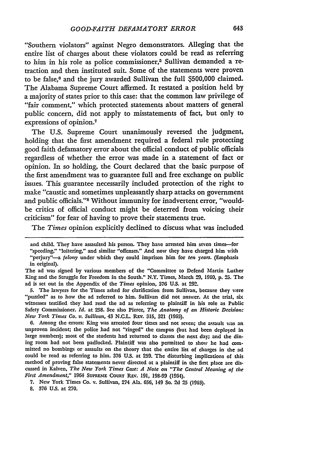"Southern violators" against Negro demonstrators. Alleging that the entire list of charges about these violators could be read as referring to him in his role as police commissioner, $5$  Sullivan demanded a retraction and then instituted suit. Some of the statements were proven to be false,6 and the jury awarded Sullivan the full **\$500,000** claimed. The Alabama Supreme Court affirmed. It restated a position held **by** a majority of states prior to this case: that the common law privilege of "fair comment," which protected statements about matters of general public concern, did not apply to misstatements of fact, but only to expressions of opinion.7

The **U.S.** Supreme Court unanimously reversed the judgment, holding that the first amendment required a federal rule protecting good faith defamatory error about the official conduct of public officials regardless of whether the error was made in a statement of fact or opinion. In so holding, the Court declared that the basic purpose of the first amendment was to guarantee full and free exchange on public issues. This guarantee necessarily included protection of the right to make "caustic and sometimes unpleasantly sharp attacks on government and public officials."<sup>8</sup> Without immunity for inadvertent error, "wouldbe critics of official conduct might be deterred from voicing their criticism" for fear of having to prove their statements true.

The *Times* opinion explicitly declined to discuss what was included

**5.** The lawyers for the Times asked for clarification from Sullivan, because they were "puzzled" as to how the ad referred to him. Sullivan did not answer. At the trial, six witnesses testified they had read the ad as referring to plaintiff in his role as Public Safety Commissioner. *Id.* at **258.** See also Pierce, *The Anatomy of an Historic Decision: New York Times Co. v. Sullivan,* 43 N.C.L. REv. 315, 321 **(1965).**

6. Among the errors: King was arrested four times and not seven; the assault was an unproven inddent; the police had not "ringed" the campus (but had been **deployed** in large numbers); most of the students had returned to classes the next day; and the dining room had not been padlocked. Plaintiff was also permitted to show he had **com**mitted no bombings or assaults on the theory that the entire list of charges in the ad could be read as referring to him. **376** U.S. at 259. The disturbing implications of this method of proving false statements never directed at a plaintiff in the first place are discussed in Kalven, *The New York Times Case: A Note on "The Central Meaning of the First Amendment,"* 1964 SUPREME COURT REV. 191, 198-99 (1964).

and child. They have assaulted his person. They have arrested him seven times-for "speeding," "loitering," and similar "offenses." And now they have charged him with "perjury"-a *felony* under which they could imprison him for *ten years*. (Emphasis in original).

The ad was signed **by** various members of the "Committee to Defend Martin Luther King and the Struggle for Freedom in the South." N.Y. Times, Mard **29, 1960,** p. 25. The ad is set out in the Appendix of the *Times* opinion, 376 **U.S.** at 292.

<sup>7.</sup> New York Times Co. v. Sullivan, 274 Ala. **656,** 149 So. **2d 25** (1963).

<sup>8.</sup> **376** U.S. at 270.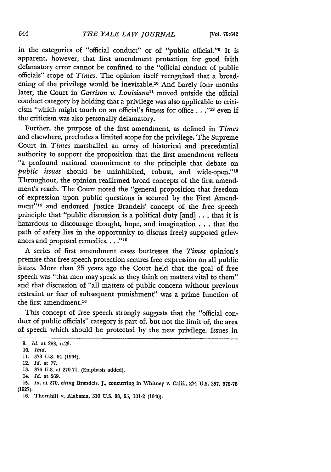in the categories of "official conduct" or of "public official."<sup>9</sup> It is apparent, however, that first amendment protection for good faith defamatory error cannot be confined to the "official conduct of public officials" scope of *Times.* The opinion itself recognized that a broadening of the privilege would be inevitable.<sup>10</sup> And barely four months later, the Court in *Garrison v. Louisiana"'* moved outside the official conduct category by holding that a privilege was also applicable to criticism "which might touch on an official's fitness for office **... <sup>12</sup>**even if the criticism was also personally defamatory.

Further, the purpose of the first amendment, as defined in *Times* and elsewhere, precludes a limited scope for the privilege. The Supreme Court in *Times* marshalled an array of historical and precedential authority to support the proposition that the first amendment reflects *"a* profound national commitment to the principle that debate on public issues should be uninhibited, robust, and wide-open."<sup>13</sup> Throughout, the opinion reaffirmed broad concepts of the first amendment's reach. The Court noted the "general proposition that freedom of expression upon public questions is secured by the First Amendment"<sup>14</sup> and endorsed Justice Brandeis' concept of the free speech principle that "public discussion is a political duty [and] ... that it is hazardous to discourage thought, hope, and imagination **. ..** that the path of safety lies in the opportunity to discuss freely supposed grievances and proposed remedies...."15

A series of first amendment cases buttresses the *Times* opinion's premise that free speech protection secures free expression on all public issues. More than **25** years ago the Court held that the goal of free speech was "that men may speak as they think on matters vital to them" and that discussion of "all matters of public concern without previous restraint or fear of subsequent punishment" was a prime function of the first amendment. <sup>16</sup>

This concept of free speech strongly suggests that the "official conduct of public officials" category is part of, but not the limit of, the area of speech which should be protected by the new privilege. Issues in

*<sup>9.</sup> Id.* at **283,** n.23.

<sup>10.</sup> *Ibid.*

**<sup>11.</sup>** 379 **U.S.** 64 (1964).

<sup>12.</sup> *Id.* at 77.

<sup>13. 376</sup> U.S. at 270-71. (Emphasis added).

<sup>14.</sup> *Id.* at 269.

**<sup>15.</sup>** *Id.* at 270, *citing* Brandeis, **J.,** concurring in Whitney v. Calif., 274 **U.S.** *357,* **875-76 (1927).**

<sup>16.</sup> Thornhill v. Alabama, 310 U.S. 88, 95, 101-2 (1940).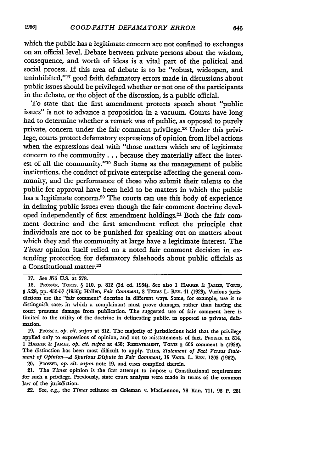which the public has a legitimate concern are not confined to exchanges on an official level. Debate between private persons about the wisdom, consequence, and worth of ideas is a vital part of the political and social process. If this area of debate is to be "robust, wideopen, and uninhibited,"<sup>17</sup> good faith defamatory errors made in discussions about public issues should be privileged whether or not one of the participants in the debate, or the object of the discussion, is a public official.

To state that the first amendment protects speech about "public issues" is not to advance a proposition in a vacuum. Courts have long had to determine whether a remark was of public, as opposed to purely private, concern under the fair comment privilege.18 Under this privilege, courts protect defamatory expressions of opinion from libel actions when the expressions deal with "those matters which are of legitimate concern to the community... because they materially affect the interest of all the community."<sup>19</sup> Such items as the management of public institutions, the conduct of private enterprise affecting the general community, and the performance of those who submit their talents to the public for approval have been held to be matters in which the public has a legitimate concern.<sup>20</sup> The courts can use this body of experience in defining public issues even though the fair comment doctrine developed independently of first amendment holdings.2' Both the fair comment doctrine and the first amendment reflect the principle that individuals are not to be punished for speaking out on matters about which they and the community at large have a legitimate interest. The *Times* opinion itself relied on a noted fair comment decision in extending protection for defamatory falsehoods about public officials as a Constitutional matter.<sup>22</sup>

**19.** PRossER, *op. cit. supra* at **812.** The majority of jurisdictions **held** that the privilege applied only to expressions of opinion, and not to misstatements **of** fact. Prossm at 814, 1 HARPER & JAMES, op. cit. supra at 458; RESTATEMENT, TORTS § 606 comment **b** (1938). The distinction has been most difficult to apply. Titus, *Statement of Fact Versus State- ment of Opinion-A Spurious Dispute in Fair Comment,* **15 VAND.** L REv. **1203 (1962).**

20. PRossEn, *op. cit. supra* note **19,** and cases compiled therein.

**21.** The *Times* opinion is the first attempt to impose a Constitutional requirement for such a privilege. Previously, state court analyses were made in terms of the common law of the jurisdiction.

22. See, *e.g.,* the *Times* reliance on Coleman v. MacLennon, **78** Kan. **711, 98** P. **281**

**<sup>17.</sup>** See **576 US.** at **278.**

<sup>18.</sup> PROSSER, TORTS, § 110, p. 812 (3d ed. 1964). See also 1 HARPER & JAMES, TORTS, § **5.28, pp. 456-57 (1956);** Hallen, *Fair Comment,* **8 TxAs** L **REv.** 41 **(1929).** Various jurisdictions use the "fair comment" doctrine in different ways. Some, for **example,** use it to distinguish cases in which a complainant must prove damages, rather than having the court presume damage from publication. The suggested use of fair comment here is limited to the utility of the doctrine in delineating public, as opposed to private, defamation.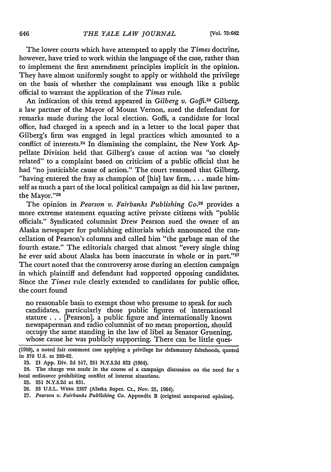The lower courts which have attempted to apply the *Times* doctrine, however, have tried to work within the language of the case, rather than to implement the first amendment principles implicit in the opinion. They have almost uniformly sought to apply or withhold the privilege on the basis of whether the complainant was enough like a public official to warrant the application of the *Times* rule.

An indication of this trend appeared in *Gilberg v. Goffi.213* Gilberg, a law partner of the Mayor of Mount Vernon, sued the defendant for remarks made during the local election. Goffi, a candidate for local office, had charged in a speech and in a letter to the local paper that Gilberg's firm was engaged in legal practices which amounted to a conflict of interests.24 In dismissing the complaint, the New York **Ap**pellate Division held that Gilberg's cause of action was "so closely related" to a complaint based on criticism of a public official that he had "no justiciable cause of action." The court reasoned that Gilberg, "having entered the fray as champion of [his] law firm... made himself as much a part of the local political campaign as did his law partner, the Mayor."25

The opinion in *Pearson v. Fairbanks Publishing Co.*<sup>26</sup> provides a more extreme statement equating active private citizens with "public officials." Syndicated columnist Drew Pearson sued the owner of an Alaska newspaper for publishing editorials which announced the cancellation of Pearson's columns and called him "the garbage man of the fourth estate." The editorials charged that almost "every single thing he ever said about Alaska has been inaccurate in whole or in part."<sup>27</sup> The court noted that the controversy arose during an election campaign in which plaintiff and defendant had supported opposing candidates. Since the *Times* rule clearly extended to candidates for public office, the court found

no reasonable basis to exempt those who presume to speak for such candidates, particularly those public figures of international stature **. .** . [Pearson], a public figure and internationally known newspaperman and radio columnist of no mean proportion, should occupy the same standing in the law of libel as Senator Gruening, whose cause he was publicly supporting. There can be little ques-

(1908), a noted fair comment case applying a privilege for defamatory falsehoods, quoted in **376 U.S.** at **280-82.**

23. 21 App. Div. **2d** 517, **251** N.Y.S.2d **823** (1964).

24. The charge was made in the course of a campaign discussion on the need for a local ordinance prohibiting conflict of interest situations.

- **25. 251** N.Y.S.2d at 831.
- **26. 33 U.S.L. WEEK 2307** (Alaska Super. Ct., Nov. **25,** 1964).
- **27.** *Pearson v. Fairbanks Publishing Co.* Appendix B (original unreported opinion).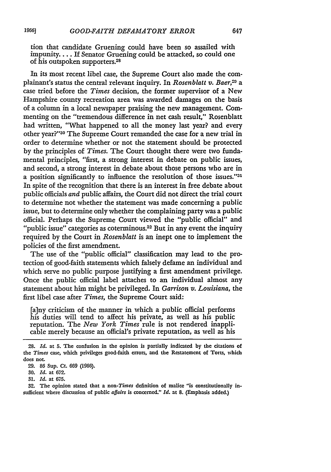tion that candidate Gruening could have been so assailed with impunity.... If Senator Gruening could be attacked, so could one of his outspoken supporters.<sup>28</sup>

In its most recent libel case, the Supreme Court also made the complainant's status the central relevant inquiry. In *Rosenblatt v. Baer,3* a case tried before the *Times* decision, the former supervisor of a New Hampshire county recreation area was awarded damages on the basis of a column in a local newspaper praising the new management. Commenting on the "tremendous difference in net cash result," Rosenblatt had written, "What happened to all the money last year? and every other year?" 30 The Supreme Court remanded the case for a new trial in order to determine whether or not the statement should be protected by the principles of *Times.* The Court thought there were two fundamental principles, "first, a strong interest in debate on public issues, and second, a strong interest in debate about those persons who are in a position significantly to influence the resolution of those issues."<sup>3</sup> In spite of the recognition that there is an interest in free debate about public officials *and* public affairs, the Court did not direct the trial court to determine not whether the statement was made concerning a public issue, but to determine only whether the complaining party was a public official. Perhaps the Supreme Court viewed the "public official" and "public issue" categories as coterminous.<sup>32</sup> But in any event the inquiry required by the Court in *Rosenblatt* is an inept one to implement the policies of the first amendment.

The use of the "public official" classification may lead to the protection of good-faith statements which falsely defame an individual and which serve no public purpose justifying a first amendment privilege. Once the public official label attaches to an individual almost any statement about him might be privileged. In *Garrison v. Louisiana, the* first libel case after *Times,* the Supreme Court said:

[a]ny criticism of the manner in which a public official performs his duties will tend to affect his private, as well as his public reputation. The *New York Times* rule is not rendered inapplicable merely because an official's private reputation, as well as his

32. The opinion stated that a non-Times definition of malice "is constitutionally insufficient where discussion of public *affairs* is concerned." *Id.* at 8. (Emphasis added.)

**<sup>28.</sup>** *Id.* at **5.** The confusion in the opinion is partially indicated **by** the citations of the *Times* case, which privileges good-faith errors, and the Restatement of Torts, which does not.

**<sup>29. 86</sup>** Sup. **Ct. 669 (1966).**

*<sup>30.</sup> Id.* at 672.

**<sup>31.</sup>** *Id.* at 675.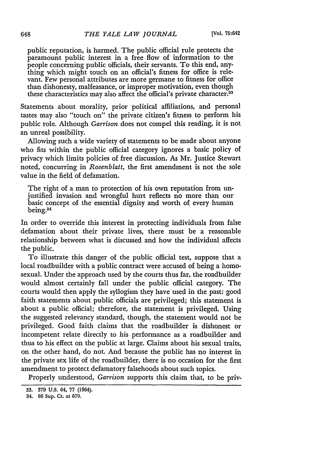public reputation, is harmed. The public official rule protects the paramount public interest in a free flow of information to the people concerning public officials, their servants. To this end, anything which might touch on an official's fitness for office is relevant. Few personal attributes are more germane to fitness for office than dishonesty, malfeasance, or improper motivation, even though these characteristics may also affect the official's private character.<sup>83</sup>

Statements about morality, prior political affiliations, and personal tastes may also "touch on" the private citizen's fitness to perform his public role. Although *Garrison* does not compel this reading, it is not an unreal possibility.

Allowing such a wide variety of statements to be made about anyone who fits within the public official category ignores a basic policy of privacy which limits policies of free discussion. As Mr. Justice Stewart noted, concurring in *Rosenblatt,* the first amendment is not the sole value in the field of defamation.

The right of a man to protection of his own reputation from unjustified invasion and wrongful hurt reflects no more than our basic concept of the essential dignity and worth of every human being.<sup>34</sup>

In order to override this interest in protecting individuals from false defamation about their private lives, there must be a reasonable relationship between what is discussed and how the individual affects the public.

To illustrate this danger of the public official test, suppose that a local roadbuilder with a public contract were accused of being a homosexual. Under the approach used by the courts thus far, the roadbuilder would almost certainly fall under the public official category. The courts would then apply the syllogism they have used in the past: good faith statements about public officials are privileged; this statement is about a public official; therefore, the statement is privileged. Using the suggested relevancy standard, though, the statement would not be privileged. Good faith claims that the roadbuilder is dishonest or incompetent relate directly to his performance as a roadbuilder and thus to his effect on the public at large. Claims about his sexual traits, on the other hand, do not. And because the public has no interest in the private sex life of the roadbuilder, there is no occasion for the first amendment to protect defamatory falsehoods about such topics.

Properly understood, *Garrison* supports this claim that, to be priv-

**<sup>33. 379</sup> U.S.** *64,* **77** (1964).

<sup>34.</sup> **86** Sup. Ct. at **679.**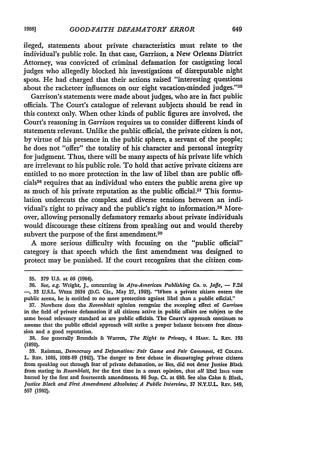ileged, statements about private characteristics must relate to the individual's public role. In that case, Garrison, a New Orleans District Attorney, was convicted of criminal defamation for castigating local judges who allegedly blocked his investigations of disreputable night spots. He had charged that their actions raised "interesting questions about the racketeer influences on our eight vacation-minded judges."<sup>35</sup>

Garrison's statements were made about judges, who are in fact public officials. The Court's catalogue of relevant subjects should be read in this context only. When other kinds of public figures are involved, the Court's reasoning in *Garrison* requires us to consider different kinds of statements relevant. Unlike the public official, the private citizen is not, **by** virtue of his presence in the public sphere, a servant of the people; he does not "offer" the totality of his character and personal integrity for judgment. Thus, there will be many aspects of his private life which are irrelevant to his public role. To hold that active private citizens are entitled to no more protection in the law of libel than are public officials36 requires that an individual who enters the public arena give up as much of his private reputation as the public official.<sup>37</sup> This formulation undercuts the complex and diverse tensions between an individual's right to privacy and the public's right to information.38 Moreover, allowing personally defamatory remarks about private individuals would discourage these citizens from speaking out and would thereby subvert the purpose of the first amendment.<sup>39</sup>

A more serious difficulty with focusing on the "public official" category is that speech which the first amendment was designed to protect may be punished. If the court recognizes that the citizen com-

**<sup>35. 379</sup> U.S.** at 66 (1964).

**<sup>36.</sup>** See, e.g. Wright, **J.,** concurring in *Afro-American Publishing* Co. *v. Jaffe,* **- F.2d**  $-$ , 33 U.S.L. WEEK 2634 (D.C. Cir., May 27, 1965). "When a private dilizen enters the public arena, he is entitled to no more protection against libel than a public offidal."

<sup>37.</sup> Nowhere does the *Rosenblatt* opinion recognize the sweeping effect of *Garrison* in the field of private defamation if all citizens active in public affairs are subject to the same broad relevancy standard as are public officials. The Court's approach continues to assume that the public offidal approach will strike a proper balance between free discuzsion and a good reputation.

**<sup>38.</sup>** See generally Brandeis **&** Warren, *The Right to Privacy,* 4 HALv. L REv. 193 **(1890).**

**<sup>39.</sup>** Reisman, *Democracy and Defamation: Fair Game and Fair Comment,* 42 CoLum. L. **REv. 1085,** 1088-89 (1942). The danger to free debate in discouraging private citizens from speaking out through fear of private defamation, or lies, did not deter Justice Black from stating in *Rosenblatt,* for the first time in a court opinion, that *all* libel laws were barred **by** the first and fourteenth amendments. **86** Sup. Ct. at **680.** See also Cahn **&** Black, *Justice Black and First Amendment Absolutes; A Public Interview,* **37** N.Y.U.L REv. 549, **557 (1962).**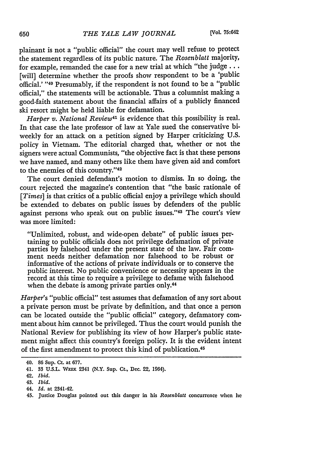plainant is not a "public official" the court may well refuse to protect the statement regardless of its public nature. The *Rosenblatt* majority, for example, remanded the case for a new trial at which "the judge... [will] determine whether the proofs show respondent to be a 'public official.' **"40** Presumably, if the respondent is not found to be a "public official," the statements will be actionable. Thus a columnist making a good-faith statement about the financial affairs of a publicly financed ski resort might be held liable for defamation.

*Harper v. National Review41* is evidence that this possibility is real. In that case the late professor of law at Yale sued the conservative biweekly for an attack on a petition signed by Harper criticizing U.S. policy in Vietnam. The editorial charged that, whether or not the signers were actual Communists, "the objective fact is that these persons we have named, and many others like them have given aid and comfort to the enemies of this country."<sup>42</sup>

The court denied defendant's motion to dismiss. In so doing, the court rejected the magazine's contention that "the basic rationale of [*Times*] is that critics of a public official enjoy a privilege which should be extended to debates on public issues by defenders of the public against persons who speak out on public issues."43 The court's view was more limited:

"Unlimited, robust, and wide-open debate" of public issues pertaining to public officials does not privilege defamation of private parties by falsehood under the present state of the law. Fair comment needs neither defamation nor falsehood to be robust or informative of the actions of private individuals or to conserve the public interest. No public convenience or necessity appears in the record at this time to require a privilege to defame with falsehood when the debate is among private parties only.<sup>44</sup>

*Harper's* "public official" test assumes that defamation of any sort about a private person must be private by definition, and that once a person can be located outside the "public official" category, defamatory comment about him cannot be privileged. Thus the court would punish the National Review for publishing its view of how Harper's public statement might affect this country's foreign policy. It is the evident intent of the first amendment to protect this kind of publication.<sup>45</sup>

<sup>40. 86</sup> Sup. Ct. at 677.

<sup>41. 33</sup> **U.S.L.** WEEK 2341 (N.Y. Sup. Ct., Dec. 22, 1964).

<sup>42.</sup> *Ibid.*

<sup>43.</sup> *Ibid.*

<sup>44.</sup> *Id.* at 2341-42.

<sup>45.</sup> Justice Douglas pointed out this danger in his *Rosenblatt* concurrence when **he**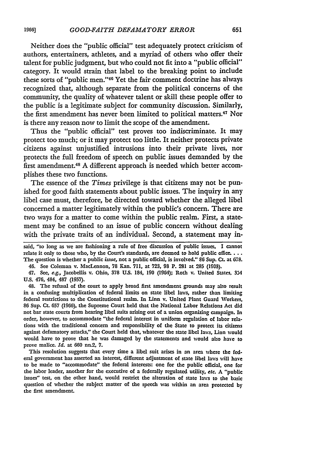Neither does the "public official" test adequately protect criticism of authors, entertainers, athletes, and a myriad of others who offer their talent for public judgment, but who could not fit into a "public official" category. It would strain that label to the breaking point to include these sorts of "public men."40 Yet the fair comment doctrine has always recognized that, although separate from the political concerns of the community, the quality of whatever talent or skill these people offer to the public is a legitimate subject for community discussion. Similarly, the first amendment has never been limited to political matters.<sup>47</sup> Nor is there any reason now to limit the scope of the amendment.

Thus the "public official" test proves too indiscriminate. It may protect too much; or it may protect too little. It neither protects private citizens against unjustified intrusions into their private lives, nor protects the **full** freedom of speech on public issues demanded **by** the first amendment.<sup>4</sup> s **A** different approach is needed which better accomplishes these two functions.

The essence of the *Times* privilege is that citizens may not be punished for good faith statements about public issues. The inquiry in any libel case must, therefore, be directed toward whether the alleged libel concerned a matter legitimately within the public's concern. There are two ways for a matter to come within the public realm. First, a statement may be confined to an issue of public concern without dealing with the private traits of an individual. Second, a statement may in-

said, "so long as we are fashioning a rule of free discussion of public issues, I cannot relate it only to those who, **by** the Court's standards, are deemed to hold public **office...** The question is whether a public *issue*, not a public official, is involved." 86 Sup. Ct. at 678.

46. See Coleman v. MacLennon, **78** Kan. **711,** at **723, 98** P. **281** at **285 (1903).**

47. See, e.g., Jacobellis v. Ohio, **378 US.** 184, **190** (1964); Roth v. United States, **<sup>354</sup>** *US.* 476, 484, **487 (1957).**

48. The refusal of the court to apply broad first amendment grounds may also result in a confusing multiplication of federal limits on state libel laws, rather than limiting federal restrictions to the Constitutional realm. In Linn v. United Plant Guard Workers, **86** Sup. Ct. **657 (1966),** the Supreme Court held that the National Labor Relations Act did not bar state courts from hearing libel suits arising out of a union organizing campaign. In order, however, to accommodate "the federal interest in uniform regulation of labor relations with the traditional concern and responsibility of the State to protect its citizens against defamatory attacks," the Court held that, whatever the state libel laws, Linn would would have to prove that he **was** damaged by the statements and would also have to prove malice. *Id.* at 660 nn.2, 7.

This resolution suggests that every time a libel suit arises in an area where the federal government has asserted an interest, different adjustment of state libel laws will have to be made to "accommodate" the federal interests: one for the public official, one for the labor leader, another for the executive of a federally regulated utility, etc. A "public issues" test, on the other hand, would restrict the alteration of state laws to the basic question of whether the subject matter of the speech was within an area protected **by** the first amendment.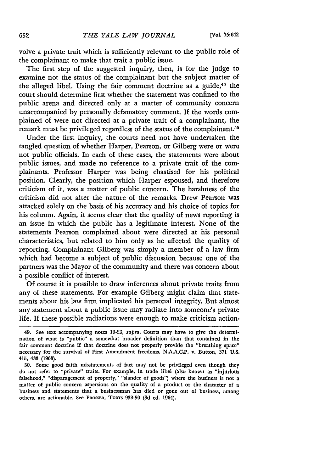volve a private trait which is sufficiently relevant to the public role of the complainant to make that trait a public issue.

The first step of the suggested inquiry, then, is for the judge to examine not the status of the complainant but the subject matter of the alleged libel. Using the fair comment doctrine as a guide, $40$  the court should determine first whether the statement was confined to the public arena and directed only at a matter of community concern unaccompanied by personally defamatory comment. If the words complained of were not directed at a private trait of a complainant, the remark must be privileged regardless of the status of the complainant.<sup>50</sup>

Under the first inquiry, the courts need not have undertaken the tangled question of whether Harper, Pearson, or Gilberg were or were not public officials. In each of these cases, the statements were about public issues, and made no reference to a private trait of the complainants. Professor Harper was being chastised for his political position. Clearly, the position which Harper espoused, and therefore criticism of it, was a matter of public concern. The harshness of the criticism did not alter the nature of the remarks. Drew Pearson was attacked solely on the basis of his accuracy and his choice of topics for his column. Again, it seems clear that the quality of news reporting is an issue in which the public has a legitimate interest. None of the statements Pearson complained about were directed at his personal characteristics, but related to him only as he affected the quality of reporting. Complainant Gilberg was simply a member of a law firm which had become a subject of public discussion because one of the partners was the Mayor of the community and there was concern about a possible conflict of interest.

Of course it is possible to draw inferences about private traits from any of these statements. For example Gilberg might claim that statements about his law firm implicated his personal integrity. But almost any statement about a public issue may radiate into someone's private life. If these possible radiations were enough to make criticism action-

<sup>49.</sup> See text accompanying notes 19-23, *supra.* Courts may have to give the determination of what is "public" a somewhat broader definition than that contained in the fair comment doctrine if that doctrine does not properly provide the "breathing space" necessary for the survival of First Amendment freedoms. N.A.A.CP. v. Button, **371** U.S. 415, 433 (1963).

**<sup>50.</sup>** Some good faith misstatements of fact may not be privileged even though they do not refer to "private" traits. For example, in trade libel (also known as "injurious falsehood," "disparagement of property," "slander of goods') where the business **Is** not a matter of public concern aspersions on the quality of a product or the character of a business and statements that a businessman has died or gone out of business, among others, are actionable. See PROSSER, TORTS **938-50 (3d** ed. 1964).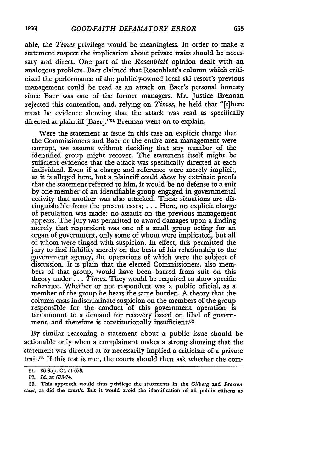able, the *Times* privilege would be meaningless. In order to make a statement suspect the implication about private traits should be necessary and direct. One part of the *Rosenblatt* opinion dealt with an analogous problem. Baer claimed that Rosenblatt's column which criticized the performance of the publicly-owned local ski resort's previous management could be read as an attack on Baer's personal honesty since Baer was one of the former managers. Mr. Justice Brennan rejected this contention, and, relying on *Times,* he held that "[t]here must be evidence showing that the attack was read as specifically directed at plaintiff [Baer]."<sup>51</sup> Brennan went on to explain,

Were the statement at issue in this case an explicit charge that the Commissioners and Baer or the entire area management were corrupt, we assume without deciding that any number of the identified group might recover. The statement itself might be sufficient evidence that the attack was specifically directed at each individual. Even if a charge and reference were merely implicit, as it is alleged here, but a plaintiff could show by extrinsic proofs that the statement referred to him, it would be no defense to a suit by one member of an identifiable group engaged in governmental activity that another was also attacked. These situations are distinguishable from the present cases; ... Here, no explicit charge of peculation was made; no assault on the previous management appears. The jury was permitted to award damages upon a finding merely that respondent was one of a small group acting for an organ of government, only some of whom were implicated, but all of whom were tinged with suspicion. In effect, this permitted the jury to find liability merely on the basis of his relationship to the government agency, the operations of which were the subject of discussion. It is plain that the elected Commissioners, also members of that group, would have been barred from suit on this theory under... *Times.* They would be required to show specific reference. Whether or not respondent was a public official, as a member of the group he bears the same burden. A theory that the column casts indiscriminate suspicion on the members of the group responsible for the conduct of this government operation is tantamount to a demand for recovery based on libel of government, and therefore is constitutionally insufficient.<sup>52</sup>

By similar reasoning a statement about a public issue should be actionable only when a complainant makes a strong showing that the statement was directed at or necessarily implied a criticism of a private trait.53 If this test is met, the courts should then ask whether the com-

*1966]*

**<sup>51. 86</sup>** Sup. **Ct.** at **673.**

**<sup>52.</sup> Id.** at **673-74.**

**<sup>53.</sup>** This approach would thus privilege the statements in the **Gilberg** *and Pearson* cases, as did the court's. But it would avoid the identification of all public citizens as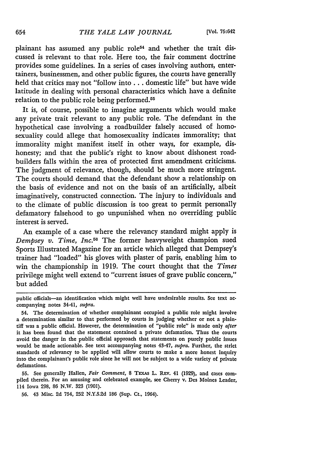plainant has assumed any public role<sup>54</sup> and whether the trait discussed is relevant to that role. Here too, the fair comment doctrine provides some guidelines. In a series of cases involving authors, entertainers, businessmen, and other public figures, the courts have generally held that critics may not "follow into **...** domestic life" but have wide latitude in dealing with personal characteristics which have a definite relation to the public role being performed.<sup>55</sup>

It is, of course, possible to imagine arguments which would make any private trait relevant to any public role. The defendant in the hypothetical case involving a roadbuilder falsely accused of homosexuality could allege that homosexuality indicates immorality; that immorality might manifest itself in other ways, for example, dishonesty; and that the public's right to know about dishonest roadbuilders falls within the area of protected first amendment criticisms. The judgment of relevance, though, should be much more stringent. The courts should demand that the defendant show a relationship on the basis of evidence and not on the basis of an artificially, albeit imaginatively, constructed connection. The injury to individuals and to the climate of public discussion is too great to permit personally defamatory falsehood to go unpunished when no overriding public interest is served.

An example of a case where the relevancy standard might apply is *Dempsey v. Time, Inc.*<sup>56</sup> The former heavyweight champion sued Sports Illustrated Magazine for an article which alleged that Dempsey's trainer had "loaded" his gloves with plaster of paris, enabling him to win the championship in 1919. The court thought that the *Times* privilege might well extend to "current issues of grave public concern," but added

55. See generally Hallen, *Fair Comment*, 8 TEXAS L. REV. 41 (1929), and cases compiled therein. For an amusing and celebrated example, see Cherry v. **Des** Moines Leader, 114 Iowa 298, **86 N.W. 323** (1901).

**56.** 43 Misc. **2d** 754, **252** N.Y.S.2d **186** (Sup. Ct., 1964).

public officials-an identification which might well have undesirable results. See text accompanying notes 34-41, *supra.*

<sup>54.</sup> The determination of whether complainant occupied a public role might involve a determination similar to that performed by courts in judging whether or not a plaintiff was a public official. However, the determination of "public role" is made only *after* it has been found that the statement contained a private defamation. Thus the courts avoid the danger in the public official approach that statements on purely public issues would be made actionable. See text accompanying notes 43-47, *supra.* Further, the strict standards of relevancy to be applied will allow courts to make a more honest inquiry into the complainant's public role since he will not be subject to a wide variety of private defamations.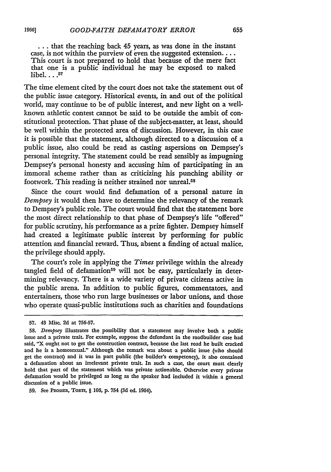**...** that the reaching back 45 years, as was done in the instant case, is not within the purview of even the suggested extension.... This court is not prepared to hold that because of the mere fact that one is a public individual he may be exposed to naked libel.... **57**

The time element cited by the court does not take the statement out of the public issue category. Historical events, in and out of the political world, may continue to be of public interest, and new light on a wellknown athletic contest cannot be said to be outside the ambit of constitutional protection. That phase of the subject-matter, at least, should be well within the protected area of discussion. However, in this case it is possible that the statement, although directed to a discussion of a public issue, also could be read as casting aspersions on Dempsey's personal integrity. The statement could be read sensibly as impugning Dempsey's personal honesty and accusing him of participating in an immoral scheme rather than as criticizing his punching ability or footwork. This reading is neither strained nor unreal.<sup>58</sup>

Since the court would find defamation of a personal nature in *Dempsey* it would then have to determine the relevancy of the remark to Dempsey's public role. The court would find that the statement bore the most direct relationship to that phase of Dempsey's life "offered" for public scrutiny, his performance as a prize fighter. Dempsey himself had created a legitimate public interest by performing for public attention and financial reward. Thus, absent a finding of actual malice, the privilege should apply.

The court's role in applying the *Times* privilege within the already tangled field of defamation<sup>59</sup> will not be easy, particularly in determining relevancy. There is a wide variety of private citizens active in the public arena. In addition to public figures, commentators, and entertainers, those who run large businesses or labor unions, and those who operate quasi-public institutions such as charities and foundations

**<sup>57.</sup>** 43 MAisc. **2d** at **756-57.**

**<sup>58.</sup>** *Dempsey* illustrates the possibility that a statement may involve both a public issue and a private trait. For example, suppose the defendant in the roadbuilder case had said, "X ought not to get the construction contract, because **the** last road he built cracked and he is a homosexual." Although the remark was about a public issue (who should get the **contract)** and it was in part public (the builder's competency), it also contained a defamation about an irrelevant private trait. In such a case, the court must clearly hold that part of the statement which was private actionable. Otherwise every private defamation would be privileged as long as the speaker had included it within a general discussion of a public issue.

**<sup>59.</sup>** See Pnossx,, ToRTs, § 106, **p.** 754 **(3d** ed. 1964).